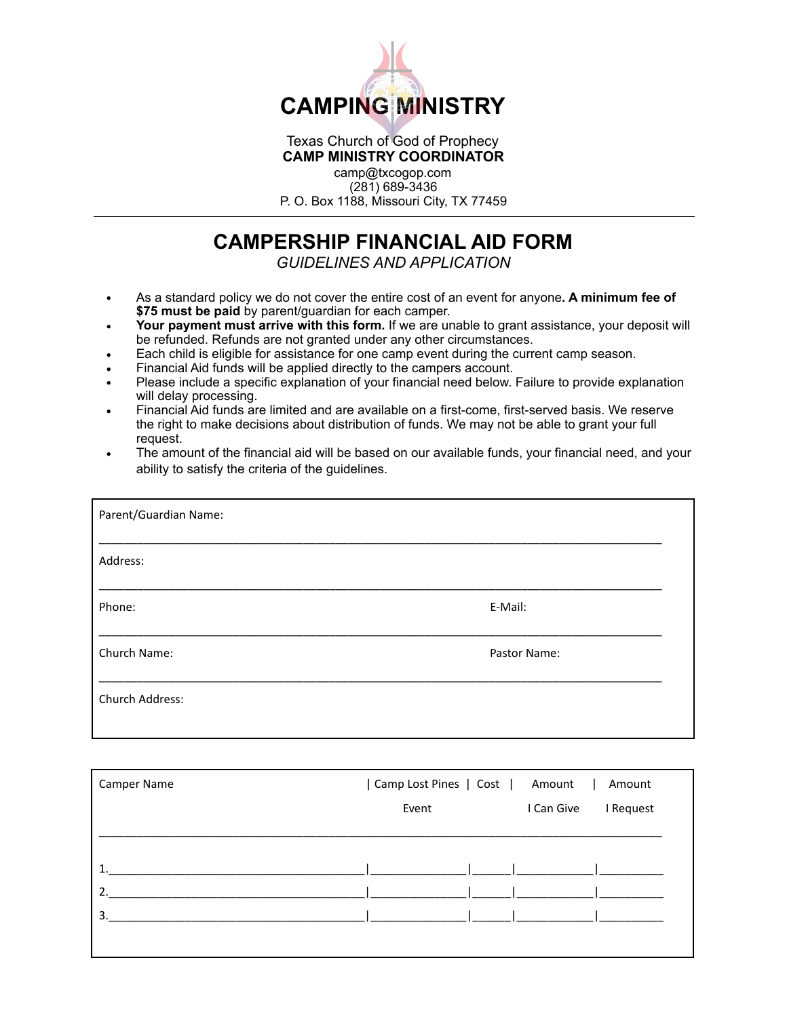

## Texas Church of God of Prophecy **CAMP MINISTRY COORDINATOR**

camp@txcogop.com (281) 689-3436 P. O. Box 1188, Missouri City, TX 77459

## **CAMPERSHIP FINANCIAL AID FORM**

*GUIDELINES AND APPLICATION* 

- As a standard policy we do not cover the entire cost of an event for anyone**. A minimum fee of \$75 must be paid** by parent/guardian for each camper.
- **Your payment must arrive with this form.** If we are unable to grant assistance, your deposit will be refunded. Refunds are not granted under any other circumstances.
- Each child is eligible for assistance for one camp event during the current camp season.
- Financial Aid funds will be applied directly to the campers account.
- Please include a specific explanation of your financial need below. Failure to provide explanation will delay processing.
- Financial Aid funds are limited and are available on a first-come, first-served basis. We reserve the right to make decisions about distribution of funds. We may not be able to grant your full request.
- The amount of the financial aid will be based on our available funds, your financial need, and your ability to satisfy the criteria of the guidelines.

| Parent/Guardian Name: |              |
|-----------------------|--------------|
| Address:              |              |
| Phone:                | E-Mail:      |
| Church Name:          | Pastor Name: |
| Church Address:       |              |

| Camper Name      | Camp Lost Pines   Cost   Amount<br>Amount<br>$\mathbf{L}$ |            |           |  |
|------------------|-----------------------------------------------------------|------------|-----------|--|
|                  | Event                                                     | I Can Give | I Request |  |
|                  |                                                           |            |           |  |
|                  |                                                           |            |           |  |
| າ                |                                                           |            |           |  |
| $\overline{3}$ . |                                                           |            |           |  |
|                  |                                                           |            |           |  |